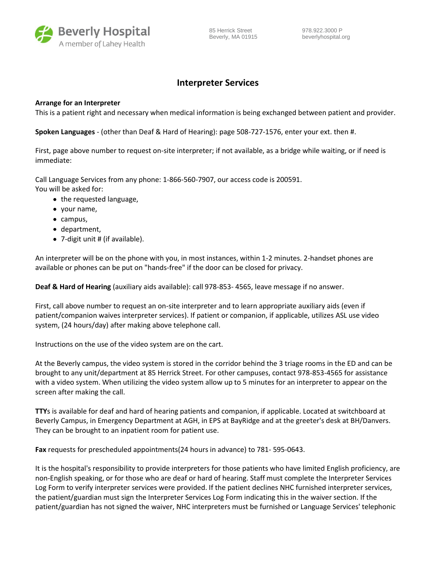

85 Herrick Street 978.922.3000 P Beverly, MA 01915 beverlyhospital.org

## **Interpreter Services**

## **Arrange for an Interpreter**

This is a patient right and necessary when medical information is being exchanged between patient and provider.

**Spoken Languages** - (other than Deaf & Hard of Hearing): page 508-727-1576, enter your ext. then #.

First, page above number to request on-site interpreter; if not available, as a bridge while waiting, or if need is immediate:

Call Language Services from any phone: 1-866-560-7907, our access code is 200591. You will be asked for:

- the requested language,
- your name,
- campus,
- department,
- 7-digit unit # (if available).

An interpreter will be on the phone with you, in most instances, within 1-2 minutes. 2-handset phones are available or phones can be put on "hands-free" if the door can be closed for privacy.

**Deaf & Hard of Hearing** (auxiliary aids available): call 978-853- 4565, leave message if no answer.

First, call above number to request an on-site interpreter and to learn appropriate auxiliary aids (even if patient/companion waives interpreter services). If patient or companion, if applicable, utilizes ASL use video system, (24 hours/day) after making above telephone call.

Instructions on the use of the video system are on the cart.

At the Beverly campus, the video system is stored in the corridor behind the 3 triage rooms in the ED and can be brought to any unit/department at 85 Herrick Street. For other campuses, contact 978-853-4565 for assistance with a video system. When utilizing the video system allow up to 5 minutes for an interpreter to appear on the screen after making the call.

**TTY**s is available for deaf and hard of hearing patients and companion, if applicable. Located at switchboard at Beverly Campus, in Emergency Department at AGH, in EPS at BayRidge and at the greeter's desk at BH/Danvers. They can be brought to an inpatient room for patient use.

**Fax** requests for prescheduled appointments(24 hours in advance) to 781- 595-0643.

It is the hospital's responsibility to provide interpreters for those patients who have limited English proficiency, are non-English speaking, or for those who are deaf or hard of hearing. Staff must complete the Interpreter Services Log Form to verify interpreter services were provided. If the patient declines NHC furnished interpreter services, the patient/guardian must sign the Interpreter Services Log Form indicating this in the waiver section. If the patient/guardian has not signed the waiver, NHC interpreters must be furnished or Language Services' telephonic